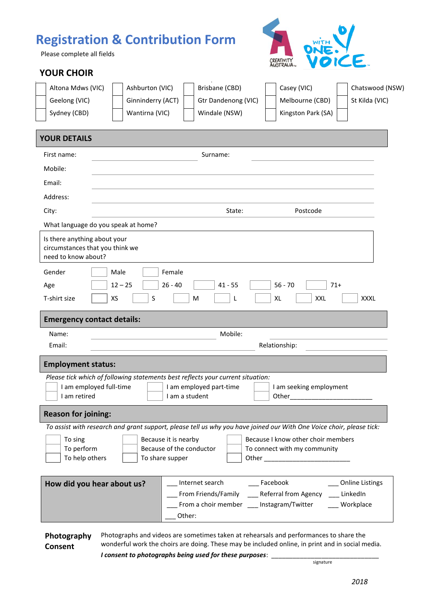## **Registration & Contribution Form**

Please complete all fields

## **YOUR CHOIR**

| טוו טו                                                                                                               |                   |                         |                                          |                                                             |                 |  |  |
|----------------------------------------------------------------------------------------------------------------------|-------------------|-------------------------|------------------------------------------|-------------------------------------------------------------|-----------------|--|--|
| Altona Mdws (VIC)                                                                                                    | Ashburton (VIC)   |                         | Brisbane (CBD)                           | Casey (VIC)                                                 | Chatswood (NSW) |  |  |
| Geelong (VIC)                                                                                                        | Ginninderry (ACT) |                         | Gtr Dandenong (VIC)                      | Melbourne (CBD)                                             | St Kilda (VIC)  |  |  |
| Sydney (CBD)                                                                                                         | Wantirna (VIC)    |                         | Windale (NSW)                            | Kingston Park (SA)                                          |                 |  |  |
|                                                                                                                      |                   |                         |                                          |                                                             |                 |  |  |
| <b>YOUR DETAILS</b>                                                                                                  |                   |                         |                                          |                                                             |                 |  |  |
| First name:                                                                                                          |                   |                         | Surname:                                 |                                                             |                 |  |  |
| Mobile:                                                                                                              |                   |                         |                                          |                                                             |                 |  |  |
| Email:                                                                                                               |                   |                         |                                          |                                                             |                 |  |  |
| Address:                                                                                                             |                   |                         |                                          |                                                             |                 |  |  |
| City:                                                                                                                |                   |                         | State:                                   | Postcode                                                    |                 |  |  |
| What language do you speak at home?                                                                                  |                   |                         |                                          |                                                             |                 |  |  |
| Is there anything about your<br>circumstances that you think we<br>need to know about?                               |                   |                         |                                          |                                                             |                 |  |  |
| Gender                                                                                                               | Male              | Female                  |                                          |                                                             |                 |  |  |
| Age                                                                                                                  | $12 - 25$         | $26 - 40$               | $41 - 55$                                | $56 - 70$                                                   | $71+$           |  |  |
| T-shirt size                                                                                                         | XS<br>S           | M                       | L                                        | XXL<br><b>XL</b>                                            | <b>XXXL</b>     |  |  |
|                                                                                                                      |                   |                         |                                          |                                                             |                 |  |  |
| <b>Emergency contact details:</b>                                                                                    |                   |                         |                                          |                                                             |                 |  |  |
| Name:                                                                                                                | Mobile:           |                         |                                          |                                                             |                 |  |  |
| Email:                                                                                                               | Relationship:     |                         |                                          |                                                             |                 |  |  |
| <b>Employment status:</b>                                                                                            |                   |                         |                                          |                                                             |                 |  |  |
| Please tick which of following statements best reflects your current situation:                                      |                   |                         |                                          |                                                             |                 |  |  |
| I am employed full-time                                                                                              |                   | I am employed part-time |                                          | I am seeking employment                                     |                 |  |  |
| $\Box$ I am retired<br>I am a student<br>Other                                                                       |                   |                         |                                          |                                                             |                 |  |  |
| <b>Reason for joining:</b>                                                                                           |                   |                         |                                          |                                                             |                 |  |  |
| To assist with research and grant support, please tell us why you have joined our With One Voice choir, please tick: |                   |                         |                                          |                                                             |                 |  |  |
| Because I know other choir members<br>To sing<br>Because it is nearby                                                |                   |                         |                                          |                                                             |                 |  |  |
| To perform<br>Because of the conductor<br>To connect with my community<br>To help others<br>To share supper          |                   |                         |                                          |                                                             |                 |  |  |
|                                                                                                                      |                   |                         |                                          |                                                             |                 |  |  |
| Internet search<br>Facebook<br>How did you hear about us?                                                            |                   |                         |                                          | __ Online Listings                                          |                 |  |  |
|                                                                                                                      |                   |                         |                                          | From Friends/Family ____ Referral from Agency ____ LinkedIn |                 |  |  |
|                                                                                                                      |                   |                         | From a choir member __ Instagram/Twitter | __ Workplace                                                |                 |  |  |
|                                                                                                                      |                   | Other:                  |                                          |                                                             |                 |  |  |
|                                                                                                                      |                   |                         |                                          |                                                             |                 |  |  |

## **Photography Consent** Photographs and videos are sometimes taken at rehearsals and performances to share the wonderful work the choirs are doing. These may be included online, in print and in social media. *I consent to photographs being used for these purposes*: \_\_\_\_\_\_\_\_\_\_\_\_\_\_\_\_\_\_\_\_\_\_\_\_\_\_\_\_\_\_

signature in the control of the control of the control of the control of the control of the control of the control of the control of the control of the control of the control of the control of the control of the control of

Е.